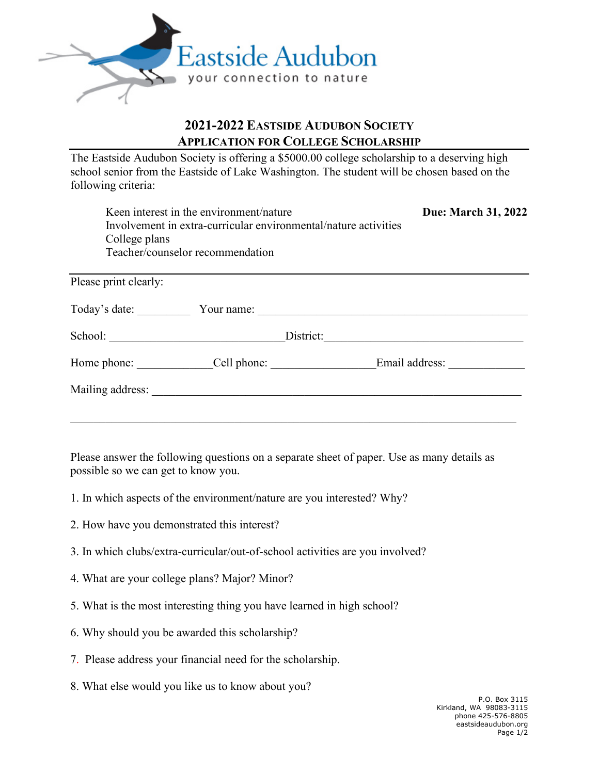

## **2021-2022 EASTSIDE AUDUBON SOCIETY APPLICATION FOR COLLEGE SCHOLARSHIP**

The Eastside Audubon Society is offering a \$5000.00 college scholarship to a deserving high school senior from the Eastside of Lake Washington. The student will be chosen based on the following criteria:

| College plans         | Keen interest in the environment/nature<br>Involvement in extra-curricular environmental/nature activities<br>Teacher/counselor recommendation | Due: March 31, 2022 |
|-----------------------|------------------------------------------------------------------------------------------------------------------------------------------------|---------------------|
| Please print clearly: |                                                                                                                                                |                     |
| Today's date:         | Your name:                                                                                                                                     |                     |
| School:               | District:                                                                                                                                      |                     |
| Home phone:           | Cell phone:                                                                                                                                    | Email address:      |
| Mailing address:      |                                                                                                                                                |                     |

Please answer the following questions on a separate sheet of paper. Use as many details as possible so we can get to know you.

\_\_\_\_\_\_\_\_\_\_\_\_\_\_\_\_\_\_\_\_\_\_\_\_\_\_\_\_\_\_\_\_\_\_\_\_\_\_\_\_\_\_\_\_\_\_\_\_\_\_\_\_\_\_\_\_\_\_\_\_\_\_\_\_\_\_\_\_\_\_\_\_\_\_\_\_

- 1. In which aspects of the environment/nature are you interested? Why?
- 2. How have you demonstrated this interest?
- 3. In which clubs/extra-curricular/out-of-school activities are you involved?
- 4. What are your college plans? Major? Minor?
- 5. What is the most interesting thing you have learned in high school?
- 6. Why should you be awarded this scholarship?
- 7. Please address your financial need for the scholarship.
- 8. What else would you like us to know about you?